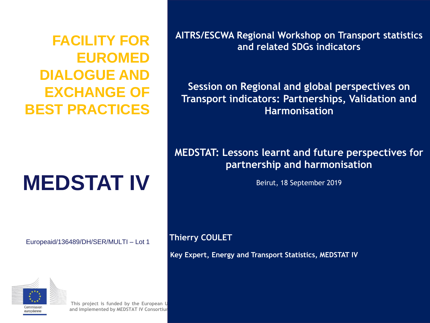**FACILITY FOR EUROMED DIALOGUE AND EXCHANGE OF BEST PRACTICES**

# **MEDSTAT IV**

Europeaid/136489/DH/SER/MULTI – Lot 1



**This project is funded by the European Union and implemented by MEDSTAT IV Consortium** **AITRS/ESCWA Regional Workshop on Transport statistics and related SDGs indicators**

**Session on Regional and global perspectives on Transport indicators: Partnerships, Validation and Harmonisation**

**MEDSTAT: Lessons learnt and future perspectives for partnership and harmonisation**

Beirut, 18 September 2019

**Thierry COULET** 

**Key Expert, Energy and Transport Statistics, MEDSTAT IV**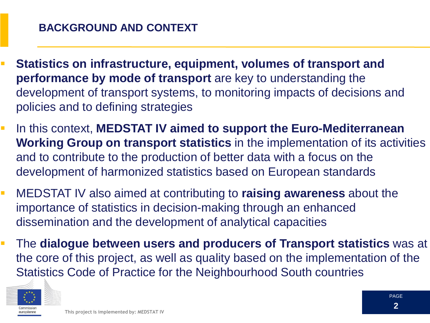- **Statistics on infrastructure, equipment, volumes of transport and performance by mode of transport** are key to understanding the development of transport systems, to monitoring impacts of decisions and policies and to defining strategies **TABLE OF CONTENT**
- **IF In this context, MEDSTAT IV aimed to support the Euro-Mediterranean Working Group on transport statistics** in the implementation of its activities and to contribute to the production of better data with a focus on the development of harmonized statistics based on European standards
- MEDSTAT IV also aimed at contributing to **raising awareness** about the importance of statistics in decision-making through an enhanced dissemination and the development of analytical capacities
- The **dialogue between users and producers of Transport statistics** was at the core of this project, as well as quality based on the implementation of the Statistics Code of Practice for the Neighbourhood South countries

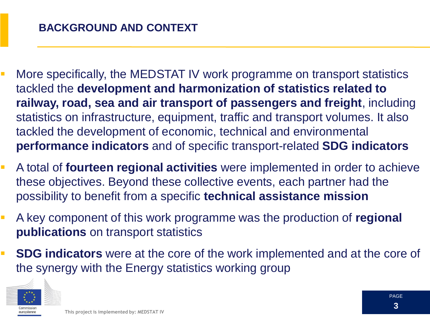- **More specifically, the MEDSTAT IV work programme on transport statistics** tackled the **development and harmonization of statistics related to railway, road, sea and air transport of passengers and freight**, including statistics on infrastructure, equipment, traffic and transport volumes. It also tackled the development of economic, technical and environmental **performance indicators** and of specific transport-related **SDG indicators**
- A total of **fourteen regional activities** were implemented in order to achieve these objectives. Beyond these collective events, each partner had the possibility to benefit from a specific **technical assistance mission**
- A key component of this work programme was the production of **regional publications** on transport statistics
- **SDG indicators** were at the core of the work implemented and at the core of the synergy with the Energy statistics working group

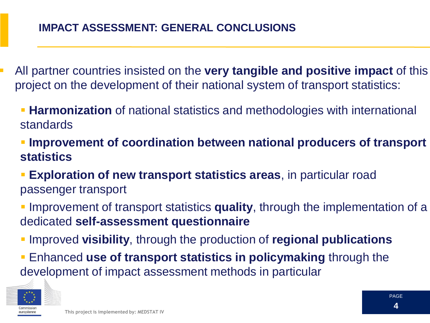- All partner countries insisted on the **very tangible and positive impact** of this project on the development of their national system of transport statistics:
	- **Harmonization** of national statistics and methodologies with international standards
	- **Improvement of coordination between national producers of transport statistics**
	- **Exploration of new transport statistics areas**, in particular road passenger transport
	- Improvement of transport statistics **quality**, through the implementation of a dedicated **self-assessment questionnaire**
	- Improved **visibility**, through the production of **regional publications**
	- Enhanced **use of transport statistics in policymaking** through the development of impact assessment methods in particular

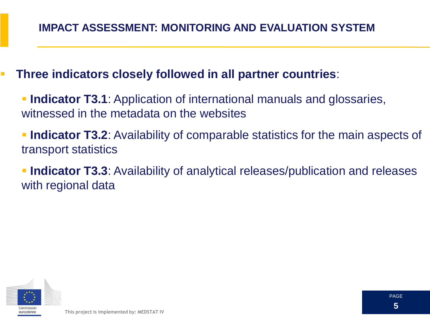**Three indicators closely followed in all partner countries**:

**Indicator T3.1**: Application of international manuals and glossaries, witnessed in the metadata on the websites

**Indicator T3.2**: Availability of comparable statistics for the main aspects of transport statistics

**Indicator T3.3**: Availability of analytical releases/publication and releases with regional data

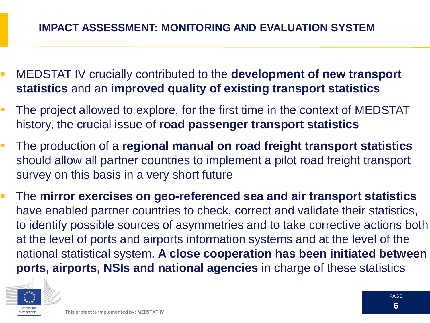## **IMPACT ASSESSMENT: MONITORING AND EVALUATION SYSTEM**

- MEDSTAT IV crucially contributed to the **development of new transport statistics** and an **improved quality of existing transport statistics**
- **The project allowed to explore, for the first time in the context of MEDSTAT** history, the crucial issue of **road passenger transport statistics**
- The production of a **regional manual on road freight transport statistics**  should allow all partner countries to implement a pilot road freight transport survey on this basis in a very short future
- The **mirror exercises on geo-referenced sea and air transport statistics**  have enabled partner countries to check, correct and validate their statistics, to identify possible sources of asymmetries and to take corrective actions both at the level of ports and airports information systems and at the level of the national statistical system. **A close cooperation has been initiated between ports, airports, NSIs and national agencies** in charge of these statistics

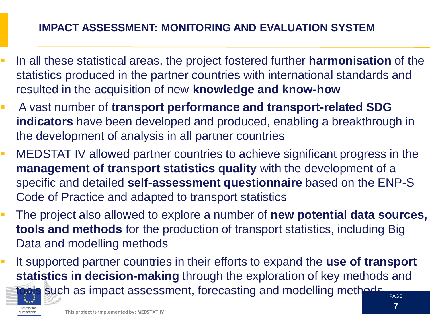## **IMPACT ASSESSMENT: MONITORING AND EVALUATION SYSTEM**

- In all these statistical areas, the project fostered further **harmonisation** of the statistics produced in the partner countries with international standards and resulted in the acquisition of new **knowledge and know-how**
- A vast number of **transport performance and transport-related SDG indicators** have been developed and produced, enabling a breakthrough in the development of analysis in all partner countries
- MEDSTAT IV allowed partner countries to achieve significant progress in the **management of transport statistics quality** with the development of a specific and detailed **self-assessment questionnaire** based on the ENP-S Code of Practice and adapted to transport statistics
- The project also allowed to explore a number of **new potential data sources, tools and methods** for the production of transport statistics, including Big Data and modelling methods
- It supported partner countries in their efforts to expand the use of transport **statistics in decision-making** through the exploration of key methods and



als such as impact assessment, forecasting and modelling methods

PAGE **7**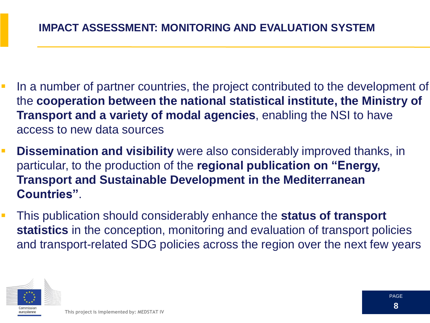- In a number of partner countries, the project contributed to the development of the **cooperation between the national statistical institute, the Ministry of Transport and a variety of modal agencies**, enabling the NSI to have access to new data sources
- **Dissemination and visibility** were also considerably improved thanks, in particular, to the production of the **regional publication on "Energy, Transport and Sustainable Development in the Mediterranean Countries"**.
- This publication should considerably enhance the **status of transport statistics** in the conception, monitoring and evaluation of transport policies and transport-related SDG policies across the region over the next few years

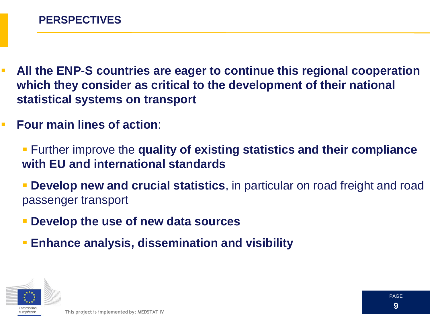- **All the ENP-S countries are eager to continue this regional cooperation which they consider as critical to the development of their national statistical systems on transport**
- **Four main lines of action:** 
	- Further improve the **quality of existing statistics and their compliance with EU and international standards**
	- **Develop new and crucial statistics**, in particular on road freight and road passenger transport
	- **Develop the use of new data sources**
	- **Enhance analysis, dissemination and visibility**

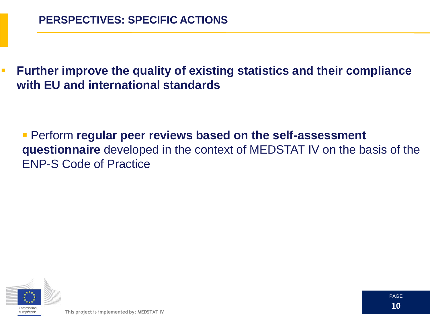**Further improve the quality of existing statistics and their compliance with EU and international standards**

 Perform **regular peer reviews based on the self-assessment questionnaire** developed in the context of MEDSTAT IV on the basis of the ENP-S Code of Practice

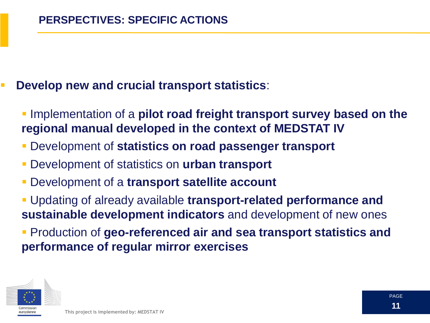#### **Develop new and crucial transport statistics**:

 Implementation of a **pilot road freight transport survey based on the regional manual developed in the context of MEDSTAT IV**

- Development of **statistics on road passenger transport**
- Development of statistics on **urban transport**
- Development of a **transport satellite account**
- Updating of already available **transport-related performance and sustainable development indicators** and development of new ones
- **Production of geo-referenced air and sea transport statistics and performance of regular mirror exercises**

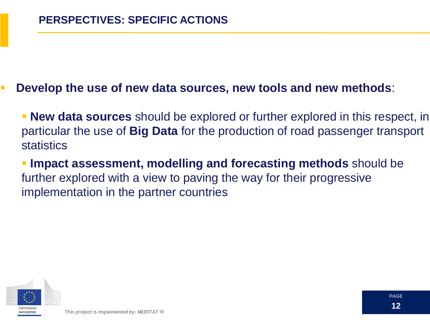#### **Develop the use of new data sources, new tools and new methods**:

 **New data sources** should be explored or further explored in this respect, in particular the use of **Big Data** for the production of road passenger transport statistics

 **Impact assessment, modelling and forecasting methods** should be further explored with a view to paving the way for their progressive implementation in the partner countries

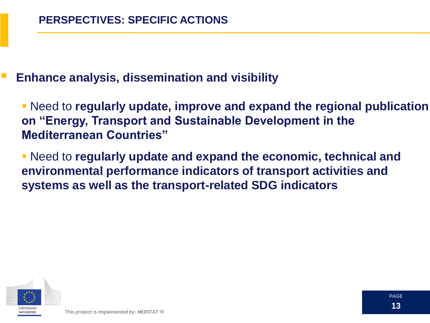#### **Enhance analysis, dissemination and visibility**

 Need to **regularly update, improve and expand the regional publication on "Energy, Transport and Sustainable Development in the Mediterranean Countries"**

 Need to **regularly update and expand the economic, technical and environmental performance indicators of transport activities and systems as well as the transport-related SDG indicators**